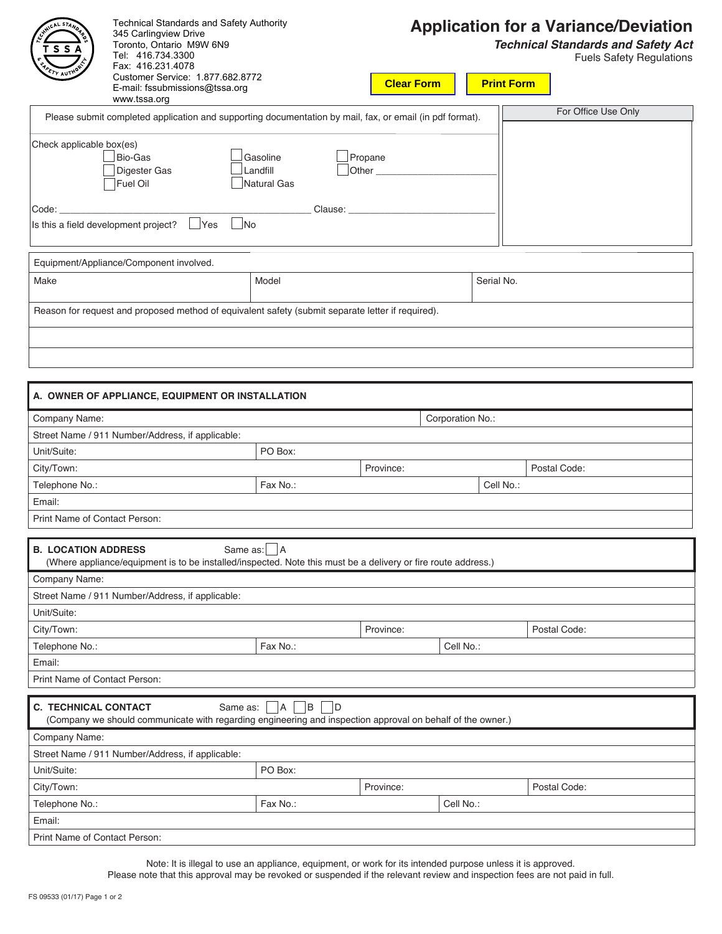| s s                           | <b>Technical Standards and Safety Authority</b><br>345 Carlingview Drive<br>Toronto, Ontario M9W 6N9<br>Tel: 416.734.3300<br>Fax: 416.231.4078<br>Customer Service: 1.877.682.8772 |                                                                                                                                    |                   |                  |                   | <b>Application for a Variance/Deviation</b><br><b>Technical Standards and Safety Act</b><br><b>Fuels Safety Regulations</b> |
|-------------------------------|------------------------------------------------------------------------------------------------------------------------------------------------------------------------------------|------------------------------------------------------------------------------------------------------------------------------------|-------------------|------------------|-------------------|-----------------------------------------------------------------------------------------------------------------------------|
|                               | E-mail: fssubmissions@tssa.org<br>www.tssa.org                                                                                                                                     |                                                                                                                                    | <b>Clear Form</b> |                  | <b>Print Form</b> |                                                                                                                             |
|                               |                                                                                                                                                                                    | Please submit completed application and supporting documentation by mail, fax, or email (in pdf format).                           |                   |                  |                   | For Office Use Only                                                                                                         |
| Check applicable box(es)      |                                                                                                                                                                                    |                                                                                                                                    |                   |                  |                   |                                                                                                                             |
|                               | Bio-Gas                                                                                                                                                                            | Gasoline                                                                                                                           | Propane           |                  |                   |                                                                                                                             |
|                               | Digester Gas                                                                                                                                                                       | Landfill                                                                                                                           |                   |                  |                   |                                                                                                                             |
|                               | Fuel Oil                                                                                                                                                                           | Natural Gas                                                                                                                        |                   |                  |                   |                                                                                                                             |
| Code:                         |                                                                                                                                                                                    |                                                                                                                                    | Clause: Clause:   |                  |                   |                                                                                                                             |
|                               | Is this a field development project?<br> Yes                                                                                                                                       | No                                                                                                                                 |                   |                  |                   |                                                                                                                             |
|                               | Equipment/Appliance/Component involved.                                                                                                                                            |                                                                                                                                    |                   |                  |                   |                                                                                                                             |
| Make                          |                                                                                                                                                                                    | Model                                                                                                                              |                   |                  | Serial No.        |                                                                                                                             |
|                               |                                                                                                                                                                                    |                                                                                                                                    |                   |                  |                   |                                                                                                                             |
|                               |                                                                                                                                                                                    | Reason for request and proposed method of equivalent safety (submit separate letter if required).                                  |                   |                  |                   |                                                                                                                             |
|                               |                                                                                                                                                                                    |                                                                                                                                    |                   |                  |                   |                                                                                                                             |
|                               |                                                                                                                                                                                    |                                                                                                                                    |                   |                  |                   |                                                                                                                             |
|                               |                                                                                                                                                                                    |                                                                                                                                    |                   |                  |                   |                                                                                                                             |
|                               |                                                                                                                                                                                    |                                                                                                                                    |                   |                  |                   |                                                                                                                             |
|                               | A. OWNER OF APPLIANCE, EQUIPMENT OR INSTALLATION                                                                                                                                   |                                                                                                                                    |                   |                  |                   |                                                                                                                             |
| Company Name:                 |                                                                                                                                                                                    |                                                                                                                                    |                   | Corporation No.: |                   |                                                                                                                             |
|                               | Street Name / 911 Number/Address, if applicable:                                                                                                                                   |                                                                                                                                    |                   |                  |                   |                                                                                                                             |
| Unit/Suite:                   |                                                                                                                                                                                    | PO Box:                                                                                                                            |                   |                  |                   |                                                                                                                             |
| City/Town:                    |                                                                                                                                                                                    |                                                                                                                                    | Province:         |                  |                   | Postal Code:                                                                                                                |
| Telephone No.:                |                                                                                                                                                                                    | Fax No.:                                                                                                                           |                   |                  | Cell No.:         |                                                                                                                             |
| Email:                        |                                                                                                                                                                                    |                                                                                                                                    |                   |                  |                   |                                                                                                                             |
| Print Name of Contact Person: |                                                                                                                                                                                    |                                                                                                                                    |                   |                  |                   |                                                                                                                             |
| <b>B. LOCATION ADDRESS</b>    |                                                                                                                                                                                    | Same as: A                                                                                                                         |                   |                  |                   |                                                                                                                             |
|                               |                                                                                                                                                                                    | (Where appliance/equipment is to be installed/inspected. Note this must be a delivery or fire route address.)                      |                   |                  |                   |                                                                                                                             |
| Company Name:                 |                                                                                                                                                                                    |                                                                                                                                    |                   |                  |                   |                                                                                                                             |
|                               | Street Name / 911 Number/Address, if applicable:                                                                                                                                   |                                                                                                                                    |                   |                  |                   |                                                                                                                             |
| Unit/Suite:                   |                                                                                                                                                                                    |                                                                                                                                    |                   |                  |                   |                                                                                                                             |
| City/Town:                    |                                                                                                                                                                                    |                                                                                                                                    | Province:         |                  |                   | Postal Code:                                                                                                                |
| Telephone No.:                |                                                                                                                                                                                    | Fax No.:                                                                                                                           |                   | Cell No.:        |                   |                                                                                                                             |
| Email:                        |                                                                                                                                                                                    |                                                                                                                                    |                   |                  |                   |                                                                                                                             |
| Print Name of Contact Person: |                                                                                                                                                                                    |                                                                                                                                    |                   |                  |                   |                                                                                                                             |
| <b>C. TECHNICAL CONTACT</b>   |                                                                                                                                                                                    | B<br>Same as:<br> A <br>(Company we should communicate with regarding engineering and inspection approval on behalf of the owner.) | ID.               |                  |                   |                                                                                                                             |
| Company Name:                 |                                                                                                                                                                                    |                                                                                                                                    |                   |                  |                   |                                                                                                                             |
|                               | Street Name / 911 Number/Address, if applicable:                                                                                                                                   |                                                                                                                                    |                   |                  |                   |                                                                                                                             |
| Unit/Suite:                   |                                                                                                                                                                                    | PO Box:                                                                                                                            |                   |                  |                   |                                                                                                                             |
| City/Town:                    |                                                                                                                                                                                    |                                                                                                                                    | Province:         |                  |                   | Postal Code:                                                                                                                |
| Telephone No.:                |                                                                                                                                                                                    | Fax No.:                                                                                                                           |                   | Cell No.:        |                   |                                                                                                                             |
| Email:                        |                                                                                                                                                                                    |                                                                                                                                    |                   |                  |                   |                                                                                                                             |
| Print Name of Contact Person: |                                                                                                                                                                                    |                                                                                                                                    |                   |                  |                   |                                                                                                                             |
|                               |                                                                                                                                                                                    |                                                                                                                                    |                   |                  |                   |                                                                                                                             |

Please note that this approval may be revoked or suspended if the relevant review and inspection fees are not paid in full. Note: It is illegal to use an appliance, equipment, or work for its intended purpose unless it is approved.